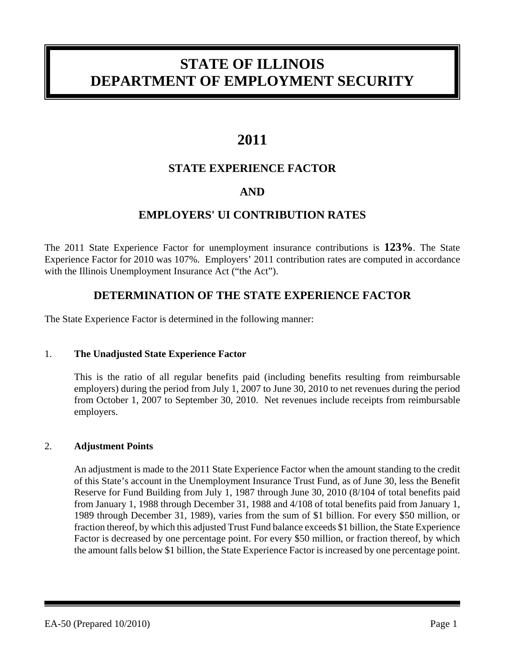# **STATE OF ILLINOIS DEPARTMENT OF EMPLOYMENT SECURITY**

## **2011**

### **STATE EXPERIENCE FACTOR**

### **AND**

### **EMPLOYERS' UI CONTRIBUTION RATES**

The 2011 State Experience Factor for unemployment insurance contributions is **123%**. The State Experience Factor for 2010 was 107%. Employers' 2011 contribution rates are computed in accordance with the Illinois Unemployment Insurance Act ("the Act").

### **DETERMINATION OF THE STATE EXPERIENCE FACTOR**

The State Experience Factor is determined in the following manner:

#### 1. **The Unadjusted State Experience Factor**

This is the ratio of all regular benefits paid (including benefits resulting from reimbursable employers) during the period from July 1, 2007 to June 30, 2010 to net revenues during the period from October 1, 2007 to September 30, 2010. Net revenues include receipts from reimbursable employers.

#### 2. **Adjustment Points**

An adjustment is made to the 2011 State Experience Factor when the amount standing to the credit of this State's account in the Unemployment Insurance Trust Fund, as of June 30, less the Benefit Reserve for Fund Building from July 1, 1987 through June 30, 2010 (8/104 of total benefits paid from January 1, 1988 through December 31, 1988 and 4/108 of total benefits paid from January 1, 1989 through December 31, 1989), varies from the sum of \$1 billion. For every \$50 million, or fraction thereof, by which this adjusted Trust Fund balance exceeds \$1 billion, the State Experience Factor is decreased by one percentage point. For every \$50 million, or fraction thereof, by which the amount falls below \$1 billion, the State Experience Factor is increased by one percentage point.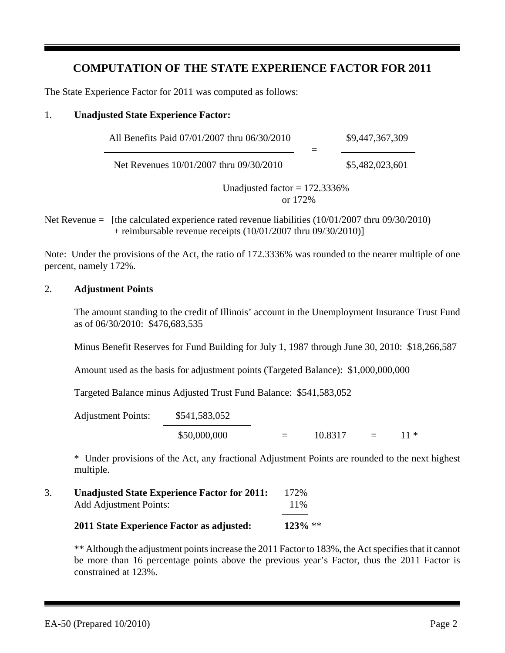### **COMPUTATION OF THE STATE EXPERIENCE FACTOR FOR 2011**

The State Experience Factor for 2011 was computed as follows:

#### 1. **Unadjusted State Experience Factor:**

| All Benefits Paid 07/01/2007 thru 06/30/2010 | \$9,447,367,309 |
|----------------------------------------------|-----------------|
| Net Revenues 10/01/2007 thru 09/30/2010      | \$5,482,023,601 |

Unadjusted factor  $= 172.3336\%$ or 172%

Net Revenue  $=$  [the calculated experience rated revenue liabilities  $(10/01/2007$  thru 09/30/2010) + reimbursable revenue receipts  $(10/01/2007$  thru  $09/30/2010$ ]

Note: Under the provisions of the Act, the ratio of 172.3336% was rounded to the nearer multiple of one percent, namely 172%.

#### 2. **Adjustment Points**

The amount standing to the credit of Illinois' account in the Unemployment Insurance Trust Fund as of 06/30/2010: \$476,683,535

Minus Benefit Reserves for Fund Building for July 1, 1987 through June 30, 2010: \$18,266,587

Amount used as the basis for adjustment points (Targeted Balance): \$1,000,000,000

Targeted Balance minus Adjusted Trust Fund Balance: \$541,583,052

| <b>Adjustment Points:</b> | \$541,583,052 |                   |         |            |
|---------------------------|---------------|-------------------|---------|------------|
|                           | \$50,000,000  | $\equiv$ $\equiv$ | 10.8317 | $=$ 11 $*$ |

\* Under provisions of the Act, any fractional Adjustment Points are rounded to the next highest multiple.

3. **Unadjusted State Experience Factor for 2011:** 172% Add Adjustment Points: 11% **2011 State Experience Factor as adjusted: 123%** \*\*

> \*\* Although the adjustment points increase the 2011 Factor to 183%, the Act specifies that it cannot be more than 16 percentage points above the previous year's Factor, thus the 2011 Factor is constrained at 123%.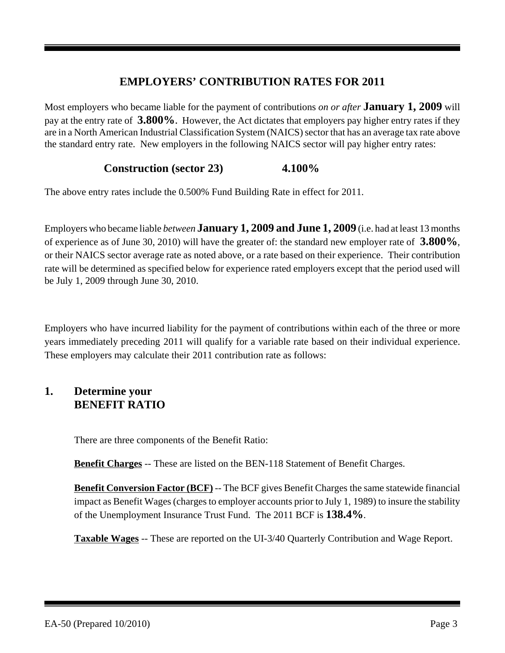### **EMPLOYERS' CONTRIBUTION RATES FOR 2011**

Most employers who became liable for the payment of contributions *on or after* **January 1, 2009** will pay at the entry rate of **3.800%**. However, the Act dictates that employers pay higher entry rates if they are in a North American Industrial Classification System (NAICS) sector that has an average tax rate above the standard entry rate. New employers in the following NAICS sector will pay higher entry rates:

### **Construction (sector 23) 4.100%**

The above entry rates include the 0.500% Fund Building Rate in effect for 2011.

Employers who became liable *between* **January 1, 2009 and June 1, 2009** (i.e. had at least 13 months of experience as of June 30, 2010) will have the greater of: the standard new employer rate of **3.800%**, or their NAICS sector average rate as noted above, or a rate based on their experience. Their contribution rate will be determined as specified below for experience rated employers except that the period used will be July 1, 2009 through June 30, 2010.

Employers who have incurred liability for the payment of contributions within each of the three or more years immediately preceding 2011 will qualify for a variable rate based on their individual experience. These employers may calculate their 2011 contribution rate as follows:

### **1. Determine your BENEFIT RATIO**

There are three components of the Benefit Ratio:

**Benefit Charges** -- These are listed on the BEN-118 Statement of Benefit Charges.

**Benefit Conversion Factor (BCF)** -- The BCF gives Benefit Charges the same statewide financial impact as Benefit Wages (charges to employer accounts prior to July 1, 1989) to insure the stability of the Unemployment Insurance Trust Fund. The 2011 BCF is **138.4%**.

**Taxable Wages** -- These are reported on the UI-3/40 Quarterly Contribution and Wage Report.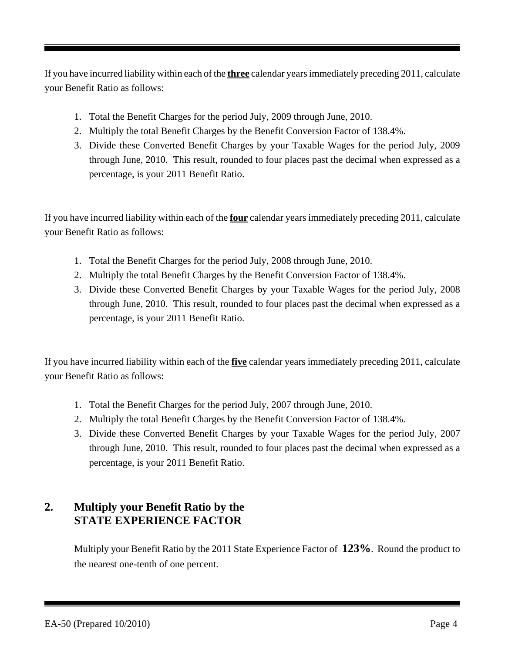If you have incurred liability within each of the **three** calendar years immediately preceding 2011, calculate your Benefit Ratio as follows:

- 1. Total the Benefit Charges for the period July, 2009 through June, 2010.
- 2. Multiply the total Benefit Charges by the Benefit Conversion Factor of 138.4%.
- 3. Divide these Converted Benefit Charges by your Taxable Wages for the period July, 2009 through June, 2010. This result, rounded to four places past the decimal when expressed as a percentage, is your 2011 Benefit Ratio.

If you have incurred liability within each of the **four** calendar years immediately preceding 2011, calculate your Benefit Ratio as follows:

- 1. Total the Benefit Charges for the period July, 2008 through June, 2010.
- 2. Multiply the total Benefit Charges by the Benefit Conversion Factor of 138.4%.
- 3. Divide these Converted Benefit Charges by your Taxable Wages for the period July, 2008 through June, 2010. This result, rounded to four places past the decimal when expressed as a percentage, is your 2011 Benefit Ratio.

If you have incurred liability within each of the **five** calendar years immediately preceding 2011, calculate your Benefit Ratio as follows:

- 1. Total the Benefit Charges for the period July, 2007 through June, 2010.
- 2. Multiply the total Benefit Charges by the Benefit Conversion Factor of 138.4%.
- 3. Divide these Converted Benefit Charges by your Taxable Wages for the period July, 2007 through June, 2010. This result, rounded to four places past the decimal when expressed as a percentage, is your 2011 Benefit Ratio.

### **2. Multiply your Benefit Ratio by the STATE EXPERIENCE FACTOR**

Multiply your Benefit Ratio by the 2011 State Experience Factor of **123%**. Round the product to the nearest one-tenth of one percent.